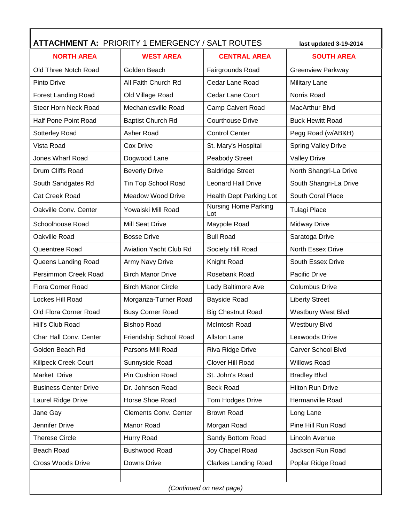| <b>ATTACHMENT A: PRIORITY 1 EMERGENCY / SALT ROUTES</b><br>last updated 3-19-2014 |                              |                                    |                            |  |
|-----------------------------------------------------------------------------------|------------------------------|------------------------------------|----------------------------|--|
| <b>NORTH AREA</b>                                                                 | <b>WEST AREA</b>             | <b>CENTRAL AREA</b>                | <b>SOUTH AREA</b>          |  |
| Old Three Notch Road                                                              | Golden Beach                 | Fairgrounds Road                   | <b>Greenview Parkway</b>   |  |
| <b>Pinto Drive</b>                                                                | All Faith Church Rd          | Cedar Lane Road                    | <b>Military Lane</b>       |  |
| <b>Forest Landing Road</b>                                                        | Old Village Road             | Cedar Lane Court                   | Norris Road                |  |
| Steer Horn Neck Road                                                              | Mechanicsville Road          | Camp Calvert Road                  | MacArthur Blvd             |  |
| Half Pone Point Road                                                              | <b>Baptist Church Rd</b>     | <b>Courthouse Drive</b>            | <b>Buck Hewitt Road</b>    |  |
| Sotterley Road                                                                    | Asher Road                   | <b>Control Center</b>              | Pegg Road (w/AB&H)         |  |
| Vista Road                                                                        | Cox Drive                    | St. Mary's Hospital                | <b>Spring Valley Drive</b> |  |
| Jones Wharf Road                                                                  | Dogwood Lane                 | Peabody Street                     | <b>Valley Drive</b>        |  |
| Drum Cliffs Road                                                                  | <b>Beverly Drive</b>         | <b>Baldridge Street</b>            | North Shangri-La Drive     |  |
| South Sandgates Rd                                                                | Tin Top School Road          | <b>Leonard Hall Drive</b>          | South Shangri-La Drive     |  |
| <b>Cat Creek Road</b>                                                             | Meadow Wood Drive            | Health Dept Parking Lot            | South Coral Place          |  |
| Oakville Conv. Center                                                             | Yowaiski Mill Road           | <b>Nursing Home Parking</b><br>Lot | <b>Tulagi Place</b>        |  |
| Schoolhouse Road                                                                  | <b>Mill Seat Drive</b>       | Maypole Road                       | <b>Midway Drive</b>        |  |
| Oakville Road                                                                     | <b>Bosse Drive</b>           | <b>Bull Road</b>                   | Saratoga Drive             |  |
| Queentree Road                                                                    | Aviation Yacht Club Rd       | Society Hill Road                  | North Essex Drive          |  |
| Queens Landing Road                                                               | Army Navy Drive              | Knight Road                        | South Essex Drive          |  |
| Persimmon Creek Road                                                              | <b>Birch Manor Drive</b>     | Rosebank Road                      | Pacific Drive              |  |
| Flora Corner Road                                                                 | <b>Birch Manor Circle</b>    | Lady Baltimore Ave                 | <b>Columbus Drive</b>      |  |
| Lockes Hill Road                                                                  | Morganza-Turner Road         | <b>Bayside Road</b>                | <b>Liberty Street</b>      |  |
| Old Flora Corner Road                                                             | <b>Busy Corner Road</b>      | <b>Big Chestnut Road</b>           | Westbury West Blvd         |  |
| Hill's Club Road                                                                  | <b>Bishop Road</b>           | McIntosh Road                      | Westbury Blvd              |  |
| Char Hall Conv. Center                                                            | Friendship School Road       | Allston Lane                       | Lexwoods Drive             |  |
| Golden Beach Rd                                                                   | Parsons Mill Road            | Riva Ridge Drive                   | Carver School Blvd         |  |
| Killpeck Creek Court                                                              | Sunnyside Road               | Clover Hill Road                   | <b>Willows Road</b>        |  |
| Market Drive                                                                      | Pin Cushion Road             | St. John's Road                    | <b>Bradley Blvd</b>        |  |
| <b>Business Center Drive</b>                                                      | Dr. Johnson Road             | <b>Beck Road</b>                   | <b>Hilton Run Drive</b>    |  |
| Laurel Ridge Drive                                                                | Horse Shoe Road              | Tom Hodges Drive                   | Hermanville Road           |  |
| Jane Gay                                                                          | <b>Clements Conv. Center</b> | <b>Brown Road</b>                  | Long Lane                  |  |
| Jennifer Drive                                                                    | Manor Road                   | Morgan Road                        | Pine Hill Run Road         |  |
| <b>Therese Circle</b>                                                             | Hurry Road                   | Sandy Bottom Road                  | Lincoln Avenue             |  |
| Beach Road                                                                        | <b>Bushwood Road</b>         | Joy Chapel Road                    | Jackson Run Road           |  |
| <b>Cross Woods Drive</b>                                                          | Downs Drive                  | <b>Clarkes Landing Road</b>        | Poplar Ridge Road          |  |
|                                                                                   |                              |                                    |                            |  |
| (Continued on next page)                                                          |                              |                                    |                            |  |